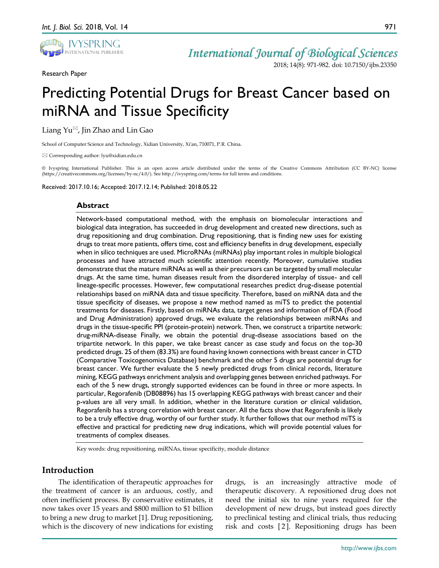

Research Paper

*International Journal of Biological Sciences*

2018; 14(8): 971-982. doi: 10.7150/ijbs.23350

# Predicting Potential Drugs for Breast Cancer based on miRNA and Tissue Specificity

Liang  $Yu^{\boxtimes}$ , Jin Zhao and Lin Gao

School of Computer Science and Technology, Xidian University, Xi'an, 710071, P.R. China.

 $\boxtimes$  Corresponding author: lyu@xidian.edu.cn

© Ivyspring International Publisher. This is an open access article distributed under the terms of the Creative Commons Attribution (CC BY-NC) license (https://creativecommons.org/licenses/by-nc/4.0/). See http://ivyspring.com/terms for full terms and conditions.

Received: 2017.10.16; Accepted: 2017.12.14; Published: 2018.05.22

#### **Abstract**

Network-based computational method, with the emphasis on biomolecular interactions and biological data integration, has succeeded in drug development and created new directions, such as drug repositioning and drug combination. Drug repositioning, that is finding new uses for existing drugs to treat more patients, offers time, cost and efficiency benefits in drug development, especially when in silico techniques are used. MicroRNAs (miRNAs) play important roles in multiple biological processes and have attracted much scientific attention recently. Moreover, cumulative studies demonstrate that the mature miRNAs as well as their precursors can be targeted by small molecular drugs. At the same time, human diseases result from the disordered interplay of tissue- and cell lineage-specific processes. However, few computational researches predict drug-disease potential relationships based on miRNA data and tissue specificity. Therefore, based on miRNA data and the tissue specificity of diseases, we propose a new method named as miTS to predict the potential treatments for diseases. Firstly, based on miRNAs data, target genes and information of FDA (Food and Drug Administration) approved drugs, we evaluate the relationships between miRNAs and drugs in the tissue-specific PPI (protein-protein) network. Then, we construct a tripartite network: drug-miRNA-disease Finally, we obtain the potential drug-disease associations based on the tripartite network. In this paper, we take breast cancer as case study and focus on the top-30 predicted drugs. 25 of them (83.3%) are found having known connections with breast cancer in CTD (Comparative Toxicogenomics Database) benchmark and the other 5 drugs are potential drugs for breast cancer. We further evaluate the 5 newly predicted drugs from clinical records, literature mining, KEGG pathways enrichment analysis and overlapping genes between enriched pathways. For each of the 5 new drugs, strongly supported evidences can be found in three or more aspects. In particular, Regorafenib (DB08896) has 15 overlapping KEGG pathways with breast cancer and their p-values are all very small. In addition, whether in the literature curation or clinical validation, Regorafenib has a strong correlation with breast cancer. All the facts show that Regorafenib is likely to be a truly effective drug, worthy of our further study. It further follows that our method miTS is effective and practical for predicting new drug indications, which will provide potential values for treatments of complex diseases.

Key words: drug repositioning, miRNAs, tissue specificity, module distance

# **Introduction**

The identification of therapeutic approaches for the treatment of cancer is an arduous, costly, and often inefficient process. By conservative estimates, it now takes over 15 years and \$800 million to \$1 billion to bring a new drug to market [1]. Drug repositioning, which is the discovery of new indications for existing

drugs, is an increasingly attractive mode of therapeutic discovery. A repositioned drug does not need the initial six to nine years required for the development of new drugs, but instead goes directly to preclinical testing and clinical trials, thus reducing risk and costs [ 2 ]. Repositioning drugs has been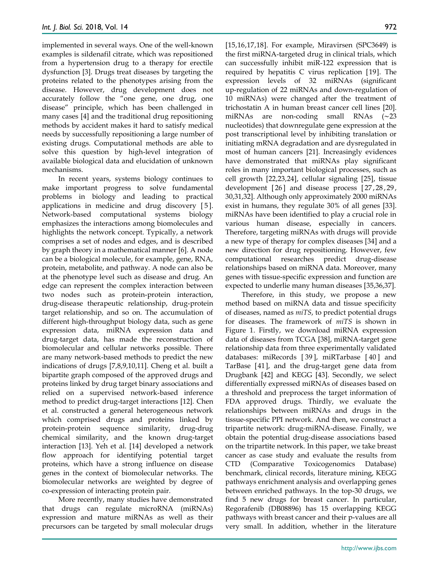implemented in several ways. One of the well-known examples is sildenafil citrate, which was repositioned from a hypertension drug to a therapy for erectile dysfunction [3]. Drugs treat diseases by targeting the proteins related to the phenotypes arising from the disease. However, drug development does not accurately follow the "one gene, one drug, one disease" principle, which has been challenged in many cases [4] and the traditional drug repositioning methods by accident makes it hard to satisfy medical needs by successfully repositioning a large number of existing drugs. Computational methods are able to solve this question by high-level integration of available biological data and elucidation of unknown mechanisms.

In recent years, systems biology continues to make important progress to solve fundamental problems in biology and leading to practical applications in medicine and drug discovery [ 5 ]. Network-based computational systems biology emphasizes the interactions among biomolecules and highlights the network concept. Typically, a network comprises a set of nodes and edges, and is described by graph theory in a mathematical manner [6]. A node can be a biological molecule, for example, gene, RNA, protein, metabolite, and pathway. A node can also be at the phenotype level such as disease and drug. An edge can represent the complex interaction between two nodes such as protein-protein interaction, drug-disease therapeutic relationship, drug-protein target relationship, and so on. The accumulation of different high-throughput biology data, such as gene expression data, miRNA expression data and drug-target data, has made the reconstruction of biomolecular and cellular networks possible. There are many network-based methods to predict the new indications of drugs [7,8,9,10,11]. Cheng et al. built a bipartite graph composed of the approved drugs and proteins linked by drug target binary associations and relied on a supervised network-based inference method to predict drug-target interactions [12]. Chen et al. constructed a general heterogeneous network which comprised drugs and proteins linked by protein-protein sequence similarity, drug-drug chemical similarity, and the known drug-target interaction [13]. Yeh et al. [14] developed a network flow approach for identifying potential target proteins, which have a strong influence on disease genes in the context of biomolecular networks. The biomolecular networks are weighted by degree of co-expression of interacting protein pair.

More recently, many studies have demonstrated that drugs can regulate microRNA (miRNAs) expression and mature miRNAs as well as their precursors can be targeted by small molecular drugs

[15,16,17,18]. For example, Miravirsen (SPC3649) is the first miRNA-targeted drug in clinical trials, which can successfully inhibit miR-122 expression that is required by hepatitis C virus replication [19]. The expression levels of 32 miRNAs (significant up-regulation of 22 miRNAs and down-regulation of 10 miRNAs) were changed after the treatment of trichostatin A in human breast cancer cell lines [20]. miRNAs are non-coding small RNAs (∼23 nucleotides) that downregulate gene expression at the post transcriptional level by inhibiting translation or initiating mRNA degradation and are dysregulated in most of human cancers [21]. Increasingly evidences have demonstrated that miRNAs play significant roles in many important biological processes, such as cell growth [22,23,24], cellular signaling [25], tissue development [26] and disease process [27, 28, 29, 30,31,32]. Although only approximately 2000 miRNAs exist in humans, they regulate 30% of all genes [33]. miRNAs have been identified to play a crucial role in various human disease, especially in cancers. Therefore, targeting miRNAs with drugs will provide a new type of therapy for complex diseases [34] and a new direction for drug repositioning. However, few computational researches predict drug-disease relationships based on miRNA data. Moreover, many genes with tissue-specific expression and function are expected to underlie many human diseases [35,36,37].

Therefore, in this study, we propose a new method based on miRNA data and tissue specificity of diseases, named as *miTS*, to predict potential drugs for diseases. The framework of *miTS* is shown in Figure 1. Firstly, we download miRNA expression data of diseases from TCGA [38], miRNA-target gene relationship data from three experimentally validated databases: miRecords [ 39 ], miRTarbase [ 40 ] and TarBase [41], and the drug-target gene data from Drugbank [42] and KEGG [43]. Secondly, we select differentially expressed miRNAs of diseases based on a threshold and preprocess the target information of FDA approved drugs. Thirdly, we evaluate the relationships between miRNAs and drugs in the tissue-specific PPI network. And then, we construct a tripartite network: drug-miRNA-disease. Finally, we obtain the potential drug-disease associations based on the tripartite network. In this paper, we take breast cancer as case study and evaluate the results from CTD (Comparative Toxicogenomics Database) benchmark, clinical records, literature mining, KEGG pathways enrichment analysis and overlapping genes between enriched pathways. In the top-30 drugs, we find 5 new drugs for breast cancer. In particular, Regorafenib (DB08896) has 15 overlapping KEGG pathways with breast cancer and their p-values are all very small. In addition, whether in the literature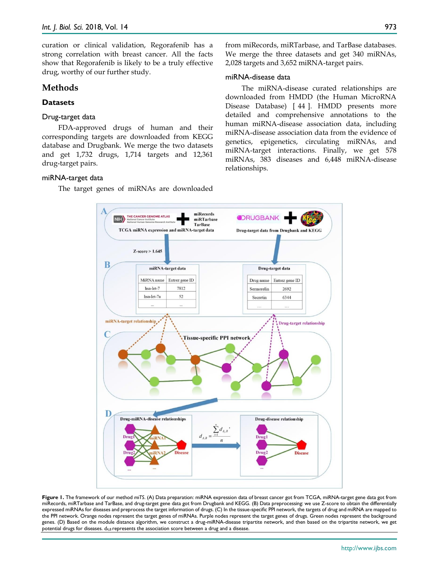curation or clinical validation, Regorafenib has a strong correlation with breast cancer. All the facts show that Regorafenib is likely to be a truly effective drug, worthy of our further study.

# **Methods**

# **Datasets**

## Drug-target data

FDA-approved drugs of human and their corresponding targets are downloaded from KEGG database and Drugbank. We merge the two datasets and get 1,732 drugs, 1,714 targets and 12,361 drug-target pairs.

## miRNA-target data

The target genes of miRNAs are downloaded

from miRecords, miRTarbase, and TarBase databases. We merge the three datasets and get 340 miRNAs, 2,028 targets and 3,652 miRNA-target pairs.

## miRNA-disease data

The miRNA-disease curated relationships are downloaded from HMDD (the Human MicroRNA Disease Database) [ 44 ]. HMDD presents more detailed and comprehensive annotations to the human miRNA-disease association data, including miRNA-disease association data from the evidence of genetics, epigenetics, circulating miRNAs, and miRNA-target interactions. Finally, we get 578 miRNAs, 383 diseases and 6,448 miRNA-disease relationships.



**Figure 1.** The framework of our method *miTS*. (A) Data preparation: miRNA expression data of breast cancer got from TCGA, miRNA-target gene data got from miRecords, miRTarbase and TarBase, and drug-target gene data got from Drugbank and KEGG. (B) Data preprocessing: we use Z-score to obtain the differentially expressed miRNAs for diseases and preprocess the target information of drugs. (C) In the tissue-specific PPI network, the targets of drug and miRNA are mapped to the PPI network. Orange nodes represent the target genes of miRNAs. Purple nodes represent the target genes of drugs. Green nodes represent the background genes. (D) Based on the module distance algorithm, we construct a drug-miRNA-disease tripartite network, and then based on the tripartite network, we get potential drugs for diseases. *dA,B* represents the association score between a drug and a disease.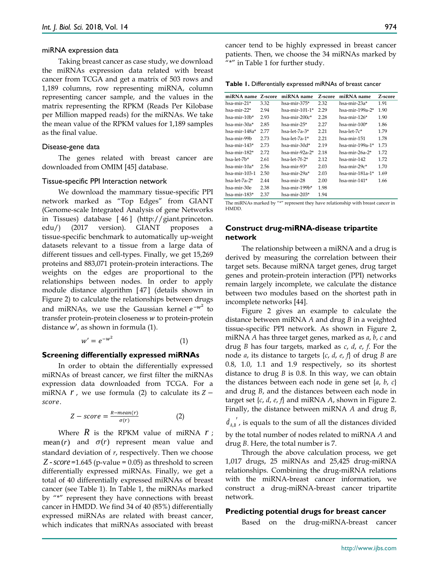#### miRNA expression data

Taking breast cancer as case study, we download the miRNAs expression data related with breast cancer from TCGA and get a matrix of 503 rows and 1,189 columns, row representing miRNA, column representing cancer sample, and the values in the matrix representing the RPKM (Reads Per Kilobase per Million mapped reads) for the miRNAs. We take the mean value of the RPKM values for 1,189 samples as the final value.

#### Disease-gene data

The genes related with breast cancer are downloaded from OMIM [45] database.

#### Tissue-specific PPI Interaction network

We download the mammary tissue-specific PPI network marked as "Top Edges" from GIANT (Genome-scale Integrated Analysis of gene Networks in Tissues) database [ 46 ] (http://giant.princeton. edu/) (2017 version). GIANT proposes a tissue-specific benchmark to automatically up-weight datasets relevant to a tissue from a large data of different tissues and cell-types. Finally, we get 15,269 proteins and 883,071 protein-protein interactions. The weights on the edges are proportional to the relationships between nodes. In order to apply module distance algorithm [ 47 ] (details shown in Figure 2) to calculate the relationships between drugs and miRNAs, we use the Gaussian kernel  $e^{-w^2}$  to transfer protein-protein closeness  $w$  to protein-protein distance  $w'$ , as shown in formula (1).

$$
w' = e^{-w^2} \tag{1}
$$

#### **Screening differentially expressed miRNAs**

In order to obtain the differentially expressed miRNAs of breast cancer, we first filter the miRNAs expression data downloaded from TCGA. For a miRNA  $r$ , we use formula (2) to calculate its  $Z$ score.

$$
Z-score = \frac{R - mean(r)}{\sigma(r)} \tag{2}
$$

Where  $R$  is the RPKM value of miRNA  $r$ ; mean  $(r)$  and  $\sigma(r)$  represent mean value and standard deviation of *r*, respectively. Then we choose Z -  $score = 1.645$  (p-value = 0.05) as threshold to screen differentially expressed miRNAs. Finally, we get a total of 40 differentially expressed miRNAs of breast cancer (see Table 1). In Table 1, the miRNAs marked by "\*" represent they have connections with breast cancer in HMDD. We find 34 of 40 (85%) differentially expressed miRNAs are related with breast cancer, which indicates that miRNAs associated with breast Where *R* is the RPKM value of miRNA *r*; by mean (*r*) and  $\sigma(r)$  represent mean value and dru standard deviation of *r*, respectively. Then we choose *Z* - *score* =1.645 (p-value = 0.05) as threshold to screen 1,0

cancer tend to be highly expressed in breast cancer patients. Then, we choose the 34 miRNAs marked by "\*" in Table 1 for further study.

|  |  | Table 1. Differentially expressed miRNAs of breast cancer |  |  |  |  |  |
|--|--|-----------------------------------------------------------|--|--|--|--|--|
|--|--|-----------------------------------------------------------|--|--|--|--|--|

| miRNA name    | Z-score | miRNA name     | Z-score | miRNA name         | Z-score |
|---------------|---------|----------------|---------|--------------------|---------|
| hsa-mir-21*   | 3.32    | hsa-mir-375*   | 2.32    | hsa-mir-23a*       | 1.91    |
| hsa-mir-22*   | 2.94    | hsa-mir-101-1* | 2.29    | hsa-mir-199a-2*    | 1.90    |
| hsa-mir-10b*  | 2.93    | hsa-mir-200c*  | 2.28    | hsa-mir-126 $*$    | 1.90    |
| hsa-mir-30a*  | 2.85    | hsa-mir-25*    | 2.27    | hsa-mir- $100*$    | 1.86    |
| hsa-mir-148a* | 2.77    | hsa-let-7a-3*  | 2.21    | $hsa$ -let- $7c*$  | 1.79    |
| hsa-mir-99b   | 2.73    | hsa-let-7a-1*  | 2.21    | hsa-mir-151        | 1.78    |
| hsa-mir-143*  | 2.73    | hsa-mir-30d*   | 2.19    | hsa-mir-199a-1*    | 1.73    |
| hsa-mir-182*  | 2.72    | hsa-mir-92a-2* | 2.18    | $hsa$ -mir-26a-2*  | 1.72    |
| hsa-let-7b*   | 2.61    | hsa-let-7f-2*  | 2.12    | $hsa$ -mir-142     | 1.72    |
| hsa-mir-10a*  | 2.56    | hsa-mir-93*    | 2.03    | hsa-mir-29 $c^*$   | 1.70    |
| hsa-mir-103-1 | 2.50    | hsa-mir-29a*   | 2.03    | hsa-mir-181a-1 $*$ | 1.69    |
| hsa-let-7a-2* | 2.44    | hsa-mir-28     | 2.00    | $hsa$ -mir-141*    | 1.66    |
| hsa-mir-30e   | 2.38    | hsa-mir-199b*  | 1.98    |                    |         |
| hsa-mir-183*  | 2.37    | hsa-mir-203*   | 1.94    |                    |         |

The miRNAs marked by "\*" represent they have relationship with breast cancer in HMDD.

## **Construct drug-miRNA-disease tripartite network**

The relationship between a miRNA and a drug is derived by measuring the correlation between their target sets. Because miRNA target genes, drug target genes and protein-protein interaction (PPI) networks remain largely incomplete, we calculate the distance between two modules based on the shortest path in incomplete networks [44].

Figure 2 gives an example to calculate the distance between miRNA *A* and drug *B* in a weighted tissue-specific PPI network. As shown in Figure 2, miRNA *A* has three target genes, marked as *a*, *b*, *c* and drug *B* has four targets, marked as *c*, *d*, *e*, *f*. For the node *a*, its distance to targets {*c*, *d*, *e*, *f*} of drug *B* are 0.8, 1.0, 1.1 and 1.9 respectively, so its shortest distance to drug *B* is 0.8. In this way, we can obtain the distances between each node in gene set {*a*, *b*, *c*} and drug *B*, and the distances between each node in target set {*c*, *d*, *e*, *f*} and miRNA *A*, shown in Figure 2. Finally, the distance between miRNA *A* and drug *B*,

 $d_{AB}$ , is equals to the sum of all the distances divided by the total number of nodes related to miRNA *A* and drug *B*. Here, the total number is 7.

Through the above calculation process, we get 1,017 drugs, 25 miRNAs and 25,425 drug-miRNA relationships. Combining the drug-miRNA relations with the miRNA-breast cancer information, we construct a drug-miRNA-breast cancer tripartite network.

#### **Predicting potential drugs for breast cancer**

Based on the drug-miRNA-breast cancer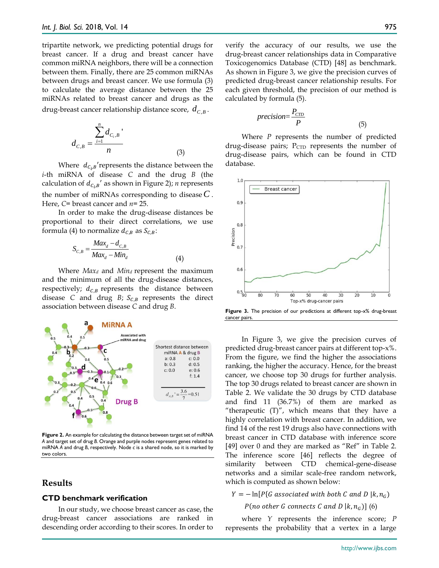tripartite network, we predicting potential drugs for breast cancer. If a drug and breast cancer have common miRNA neighbors, there will be a connection between them. Finally, there are 25 common miRNAs between drugs and breast cancer. We use formula (3) to calculate the average distance between the 25 miRNAs related to breast cancer and drugs as the drug-breast cancer relationship distance score,  $d_{C,B}$ .

$$
d_{C,B} = \frac{\sum_{i=1}^{n} d_{C_i,B} \cdot}{n}
$$
 (3)

Where  $d_{C_i,B}$ 'represents the distance between the *i*-th miRNA of disease *C* and the drug *B* (the calculation of  $d_{\mathcal{C}_i,B}{}'$  as shown in Figure 2); *n* represents the number of miRNAs corresponding to disease  $C$ . Here, *C*= breast cancer and *n*= 25.

In order to make the drug-disease distances be proportional to their direct correlations, we use formula (4) to normalize  $d_{C,B}$  as  $S_{C,B}$ :

$$
S_{C,B} = \frac{Max_d - d_{C,B}}{Max_d - Min_d}
$$
\n(4)

Where *Max<sup>d</sup>* and *Min<sup>d</sup>* represent the maximum and the minimum of all the drug-disease distances, respectively;  $d_{c,B}$  represents the distance between disease *C* and drug *B*;  $S_{C,B}$  represents the direct association between disease *C* and drug *B*.



**Figure 2.** An example for calculating the distance between target set of miRNA *A* and target set of drug *B*. Orange and purple nodes represent genes related to miRNA *A* and drug *B*, respectively. Node *c* is a shared node, so it is marked by two colors.

## **Results**

#### **CTD benchmark verification**

In our study, we choose breast cancer as case, the drug-breast cancer associations are ranked in descending order according to their scores. In order to

verify the accuracy of our results, we use the drug-breast cancer relationships data in Comparative Toxicogenomics Database (CTD) [48] as benchmark. As shown in Figure 3, we give the precision curves of predicted drug-breast cancer relationship results. For each given threshold, the precision of our method is calculated by formula (5).

$$
precision = \frac{P_{CTD}}{P}
$$
\n<sup>(5)</sup>

Where *P* represents the number of predicted drug-disease pairs;  $P_{CTD}$  represents the number of drug-disease pairs, which can be found in CTD database.



**Figure 3.** The precision of our predictions at different top-x% drug-breast cancer pairs.

In Figure 3, we give the precision curves of predicted drug-breast cancer pairs at different top-x%. From the figure, we find the higher the associations ranking, the higher the accuracy. Hence, for the breast cancer, we choose top 30 drugs for further analysis. The top 30 drugs related to breast cancer are shown in Table 2. We validate the 30 drugs by CTD database and find 11 (36.7%) of them are marked as "therapeutic  $(T)$ ", which means that they have a highly correlation with breast cancer. In addition, we find 14 of the rest 19 drugs also have connections with breast cancer in CTD database with inference score [49] over 0 and they are marked as "Ref" in Table 2. The inference score [46] reflects the degree of similarity between CTD chemical-gene-disease networks and a similar scale-free random network, which is computed as shown below:

 $Y = -\ln[P\{G\text{ associated with both } C\text{ and } D\mid k, n_G\}$ 

P(no other G connects C and D  $(k, n_G)$ ] (6)

where *Y* represents the inference score; *P* represents the probability that a vertex in a large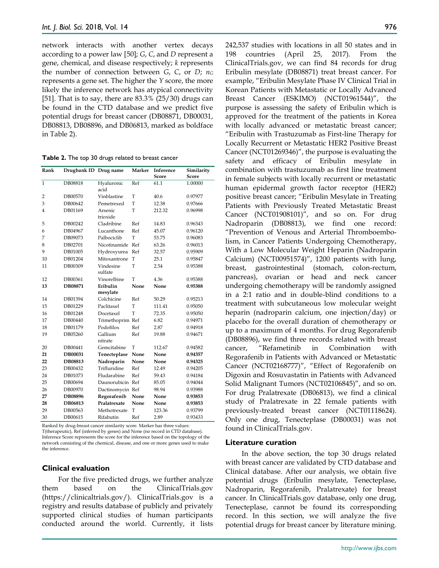network interacts with another vertex decays according to a power law [50]; *G*, *C*, and *D* represent a gene, chemical, and disease respectively; *k* represents the number of connection between *G*, *C*, or *D*; *n<sup>G</sup>* represents a gene set. The higher the *Y* score, the more likely the inference network has atypical connectivity [51]. That is to say, there are 83.3% (25/30) drugs can be found in the CTD database and we predict five potential drugs for breast cancer (DB08871, DB00031, DB08813, DB08896, and DB06813, marked as boldface in Table 2).

**Table 2.** The top 30 drugs related to breast cancer

| Rank         | Drugbank ID Drug name |                      | <b>Marker</b> | Inference<br><b>Score</b> | Similarity<br>Score |
|--------------|-----------------------|----------------------|---------------|---------------------------|---------------------|
| $\mathbf{1}$ | DB08818               | Hyaluronic           | Ref           | 61.1                      | 1.00000             |
|              |                       | acid                 |               |                           |                     |
| 2            | DB00570               | Vinblastine          | T             | 40.6                      | 0.97977             |
| 3            | DB00642               | Pemetrexed           | T             | 12.38                     | 0.97666             |
| 4            | DB01169               | Arsenic<br>trioxide  | T             | 212.32                    | 0.96998             |
| 5            | DB00242               | Cladribine           | Ref           | 14.83                     | 0.96343             |
| 6            | DB04967               | Lucanthone           | Ref           | 45.07                     | 0.96120             |
| 7            | DB09073               | Palbociclib          | T             | 53.75                     | 0.96083             |
| 8            | DB02701               | Nicotinamide         | Ref           | 63.26                     | 0.96013             |
| 9            | DB01005               | Hydroxyurea          | Ref           | 32.57                     | 0.95909             |
| 10           | DB01204               | Mitoxantrone         | T             | 25.1                      | 0.95847             |
| 11           | DB00309               | Vindesine<br>sulfate | T             | 2.54                      | 0.95388             |
| 12           | DB00361               | Vinorelbine          | T             | 4.36                      | 0.95388             |
| 13           | DB08871               | Eribulin<br>mesylate | None          | None                      | 0.95388             |
| 14           | DB01394               | Colchicine           | Ref           | 50.29                     | 0.95213             |
| 15           | DB01229               | Paclitaxel           | T             | 111.41                    | 0.95050             |
| 16           | DB01248               | Docetaxel            | T             | 72.35                     | 0.95050             |
| 17           | DB00440               | Trimethoprim Ref     |               | 6.82                      | 0.94971             |
| 18           | DB01179               | Podofilox            | Ref           | 2.87                      | 0.94918             |
| 19           | DB05260               | Gallium<br>nitrate   | Ref           | 19.88                     | 0.94671             |
| 20           | DB00441               | Gemcitabine          | T             | 112.67                    | 0.94582             |
| 21           | DB00031               | Tenecteplase         | None          | None                      | 0.94357             |
| 22           | DB08813               | Nadroparin           | None          | None                      | 0.94325             |
| 23           | DB00432               | Trifluridine         | Ref           | 12.49                     | 0.94205             |
| 24           | DB01073               | Fludarabine          | Ref           | 59.43                     | 0.94184             |
| 25           | DB00694               | Daunorubicin Ref     |               | 85.05                     | 0.94044             |
| 26           | DB00970               | Dactinomycin Ref     |               | 98.94                     | 0.93988             |
| 27           | <b>DB08896</b>        | Regorafenib          | None          | None                      | 0.93853             |
| 28           | DB06813               | Pralatrexate         | None          | None                      | 0.93853             |
| 29           | DB00563               | Methotrexate         | T             | 123.36                    | 0.93799             |
| 30           | DB00615               | Rifabutin            | Ref           | 2.89                      | 0.93433             |

Ranked by drug-breast cancer similarity score. Marker has three values: T(therapeutic), Ref (inferred by genes) and None (no record in CTD database).

Inference Score represents the score for the inference based on the topology of the network consisting of the chemical, disease, and one or more genes used to make the inference.

## **Clinical evaluation**

For the five predicted drugs, we further analyze them based on the ClinicalTrials.gov (https://clinicaltrials.gov/). ClinicalTrials.gov is a registry and results database of publicly and privately supported clinical studies of human participants conducted around the world. Currently, it lists 242,537 studies with locations in all 50 states and in 198 countries (April 25, 2017). From the ClinicalTrials.gov, we can find 84 records for drug Eribulin mesylate (DB08871) treat breast cancer. For example, "Eribulin Mesylate Phase IV Clinical Trial in Korean Patients with Metastatic or Locally Advanced Breast Cancer (ESKIMO) (NCT01961544)", the purpose is assessing the safety of Eribulin which is approved for the treatment of the patients in Korea with locally advanced or metastatic breast cancer; "Eribulin with Trastuzumab as First-line Therapy for Locally Recurrent or Metastatic HER2 Positive Breast Cancer (NCT01269346)", the purpose is evaluating the safety and efficacy of Eribulin mesylate in combination with trastuzumab as first line treatment in female subjects with locally recurrent or metastatic human epidermal growth factor receptor (HER2) positive breast cancer; "Eribulin Mesylate in Treating Patients with Previously Treated Metastatic Breast Cancer (NCT01908101)", and so on. For drug Nadroparin (DB08813), we find one record: "Prevention of Venous and Arterial Thromboembolism, in Cancer Patients Undergoing Chemotherapy, With a Low Molecular Weight Heparin (Nadroparin Calcium) (NCT00951574)", 1200 patients with lung, breast, gastrointestinal (stomach, colon-rectum, pancreas), ovarian or head and neck cancer undergoing chemotherapy will be randomly assigned in a 2:1 ratio and in double-blind conditions to a treatment with subcutaneous low molecular weight heparin (nadroparin calcium, one injection/day) or placebo for the overall duration of chemotherapy or up to a maximum of 4 months. For drug Regorafenib (DB08896), we find three records related with breast cancer, "Refametinib in Combination with Regorafenib in Patients with Advanced or Metastatic Cancer (NCT02168777)", "Effect of Regorafenib on Digoxin and Rosuvastatin in Patients with Advanced Solid Malignant Tumors (NCT02106845)", and so on. For drug Pralatrexate (DB06813), we find a clinical study of Pralatrexate in 22 female patients with previously-treated breast cancer (NCT01118624). Only one drug, Tenecteplase (DB00031) was not found in ClinicalTrials.gov.

## **Literature curation**

In the above section, the top 30 drugs related with breast cancer are validated by CTD database and Clinical database. After our analysis, we obtain five potential drugs (Eribulin mesylate, Tenecteplase, Nadroparin, Regorafenib, Pralatrexate) for breast cancer. In ClinicalTrials.gov database, only one drug, Tenecteplase, cannot be found its corresponding record. In this section, we will analyze the five potential drugs for breast cancer by literature mining.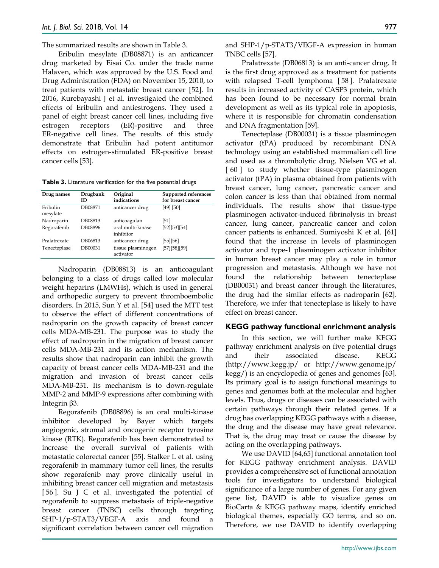The summarized results are shown in Table 3.

Eribulin mesylate (DB08871) is an anticancer drug marketed by Eisai Co. under the trade name Halaven, which was approved by the U.S. Food and Drug Administration (FDA) on November 15, 2010, to treat patients with metastatic breast cancer [52]. In 2016, Kurebayashi J et al. investigated the combined effects of Eribulin and antiestrogens. They used a panel of eight breast cancer cell lines, including five estrogen receptors (ER)-positive and three ER-negative cell lines. The results of this study demonstrate that Eribulin had potent antitumor effects on estrogen-stimulated ER-positive breast cancer cells [53].

**Table 3.** Literature verification for the five potential drugs

| Drug names           | Drugbank<br>ID | Original<br>indications         | Supported references<br>for breast cancer |
|----------------------|----------------|---------------------------------|-------------------------------------------|
| Eribulin<br>mesylate | DB08871        | anticancer drug                 | [49] [50]                                 |
| Nadroparin           | DB08813        | anticoagulan                    | [51]                                      |
| Regorafenib          | DB08896        | oral multi-kinase<br>inhibitor  | [52][53][54]                              |
| Pralatrexate         | DB06813        | anticancer drug                 | [55] [56]                                 |
| Tenecteplase         | DB00031        | tissue plasminogen<br>activator | [57][58][59]                              |

Nadroparin (DB08813) is an anticoagulant belonging to a class of drugs called low molecular weight heparins (LMWHs), which is used in general and orthopedic surgery to prevent thromboembolic disorders. In 2015, Sun Y et al. [54] used the MTT test to observe the effect of different concentrations of nadroparin on the growth capacity of breast cancer cells MDA-MB-231. The purpose was to study the effect of nadroparin in the migration of breast cancer cells MDA-MB-231 and its action mechanism. The results show that nadroparin can inhibit the growth capacity of breast cancer cells MDA-MB-231 and the migration and invasion of breast cancer cells MDA-MB-231. Its mechanism is to down-regulate MMP-2 and MMP-9 expressions after combining with Integrin β3.

Regorafenib (DB08896) is an oral multi-kinase inhibitor developed by Bayer which targets angiogenic, stromal and oncogenic receptor tyrosine kinase (RTK). Regorafenib has been demonstrated to increase the overall survival of patients with metastatic colorectal cancer [55]. Stalker L et al. using regorafenib in mammary tumor cell lines, the results show regorafenib may prove clinically useful in inhibiting breast cancer cell migration and metastasis [ 56 ]. Su J C et al. investigated the potential of regorafenib to suppress metastasis of triple-negative breast cancer (TNBC) cells through targeting SHP-1/p-STAT3/VEGF-A axis and found a significant correlation between cancer cell migration

and SHP-1/p-STAT3/VEGF-A expression in human TNBC cells [57].

Pralatrexate (DB06813) is an anti-cancer drug. It is the first drug approved as a treatment for patients with relapsed T-cell lymphoma [ 58 ]. Pralatrexate results in increased activity of CASP3 protein, which has been found to be necessary for normal brain development as well as its typical role in apoptosis, where it is responsible for chromatin condensation and DNA fragmentation [59].

Tenecteplase (DB00031) is a tissue plasminogen activator (tPA) produced by recombinant DNA technology using an established mammalian cell line and used as a thrombolytic drug. Nielsen VG et al. [ 60 ] to study whether tissue-type plasminogen activator (tPA) in plasma obtained from patients with breast cancer, lung cancer, pancreatic cancer and colon cancer is less than that obtained from normal individuals. The results show that tissue-type plasminogen activator-induced fibrinolysis in breast cancer, lung cancer, pancreatic cancer and colon cancer patients is enhanced. Sumiyoshi K et al. [61] found that the increase in levels of plasminogen activator and type-1 plasminogen activator inhibitor in human breast cancer may play a role in tumor progression and metastasis. Although we have not found the relationship between tenecteplase (DB00031) and breast cancer through the literatures, the drug had the similar effects as nadroparin [62]. Therefore, we infer that tenecteplase is likely to have effect on breast cancer.

## **KEGG pathway functional enrichment analysis**

In this section, we will further make KEGG pathway enrichment analysis on five potential drugs and their associated disease. KEGG (http://www.kegg.jp/ or http://www.genome.jp/ kegg/) is an encyclopedia of genes and genomes [63]. Its primary goal is to assign functional meanings to genes and genomes both at the molecular and higher levels. Thus, drugs or diseases can be associated with certain pathways through their related genes. If a drug has overlapping KEGG pathways with a disease, the drug and the disease may have great relevance. That is, the drug may treat or cause the disease by acting on the overlapping pathways.

We use DAVID [64,65] functional annotation tool for KEGG pathway enrichment analysis. DAVID provides a comprehensive set of functional annotation tools for investigators to understand biological significance of a large number of genes. For any given gene list, DAVID is able to visualize genes on BioCarta & KEGG pathway maps, identify enriched biological themes, especially GO terms, and so on. Therefore, we use DAVID to identify overlapping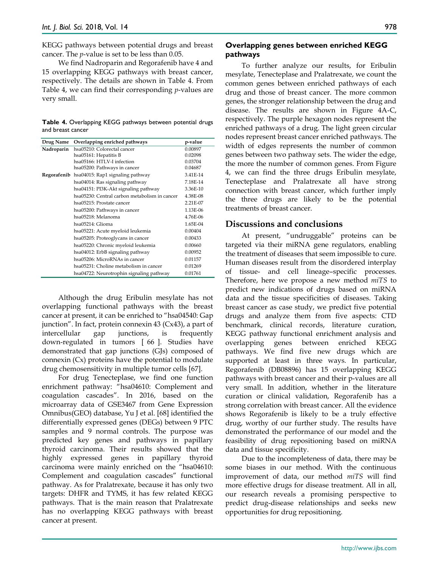KEGG pathways between potential drugs and breast cancer. The *p*-value is set to be less than 0.05.

We find Nadroparin and Regorafenib have 4 and 15 overlapping KEGG pathways with breast cancer, respectively. The details are shown in Table 4. From Table 4, we can find their corresponding *p*-values are very small.

| Table 4. Overlapping KEGG pathways between potential drugs |  |  |  |
|------------------------------------------------------------|--|--|--|
| and breast cancer                                          |  |  |  |

| Drug Name  | Overlapping enriched pathways                       | p-value  |
|------------|-----------------------------------------------------|----------|
| Nadroparin | hsa05210: Colorectal cancer                         | 0.00897  |
|            | hsa05161: Hepatitis B                               | 0.02098  |
|            | hsa05166: HTLV-I infection                          | 0.03704  |
|            | hsa05200: Pathways in cancer                        | 0.04687  |
|            | <b>Regorafenib</b> hsa04015: Rap1 signaling pathway | 3.41E-14 |
|            | hsa04014: Ras signaling pathway                     | 7.18E-14 |
|            | hsa04151: PI3K-Akt signaling pathway                | 3.36E-10 |
|            | hsa05230: Central carbon metabolism in cancer       | 4.38E-08 |
|            | hsa05215: Prostate cancer                           | 2.21E-07 |
|            | hsa05200: Pathways in cancer                        | 1.13E-06 |
|            | hsa05218: Melanoma                                  | 4.76E-06 |
|            | hsa05214: Glioma                                    | 1.65E-04 |
|            | hsa05221: Acute myeloid leukemia                    | 0.00404  |
|            | hsa05205: Proteoglycans in cancer                   | 0.00433  |
|            | hsa05220: Chronic myeloid leukemia                  | 0.00660  |
|            | hsa04012: ErbB signaling pathway                    | 0.00952  |
|            | hsa05206: MicroRNAs in cancer                       | 0.01157  |
|            | hsa05231: Choline metabolism in cancer              | 0.01269  |
|            | hsa04722: Neurotrophin signaling pathway            | 0.01761  |

Although the drug Eribulin mesylate has not overlapping functional pathways with the breast cancer at present, it can be enriched to "hsa04540: Gap junction". In fact, protein connexin 43 (Cx43), a part of intercellular gap junctions, is frequently down-regulated in tumors [ 66 ]. Studies have demonstrated that gap junctions (GJs) composed of connexin (Cx) proteins have the potential to modulate drug chemosensitivity in multiple tumor cells [67].

For drug Tenecteplase, we find one function enrichment pathway: "hsa04610: Complement and coagulation cascades". In 2016, based on the microarray data of GSE3467 from Gene Expression Omnibus(GEO) database, Yu J et al. [68] identified the differentially expressed genes (DEGs) between 9 PTC samples and 9 normal controls. The purpose was predicted key genes and pathways in papillary thyroid carcinoma. Their results showed that the highly expressed genes in papillary thyroid carcinoma were mainly enriched on the "hsa04610: Complement and coagulation cascades" functional pathway. As for Pralatrexate, because it has only two targets: DHFR and TYMS, it has few related KEGG pathways. That is the main reason that Pralatrexate has no overlapping KEGG pathways with breast cancer at present.

## **Overlapping genes between enriched KEGG pathways**

To further analyze our results, for Eribulin mesylate, Tenecteplase and Pralatrexate, we count the common genes between enriched pathways of each drug and those of breast cancer. The more common genes, the stronger relationship between the drug and disease. The results are shown in Figure 4A-C, respectively. The purple hexagon nodes represent the enriched pathways of a drug. The light green circular nodes represent breast cancer enriched pathways. The width of edges represents the number of common genes between two pathway sets. The wider the edge, the more the number of common genes. From Figure 4, we can find the three drugs Eribulin mesylate, Tenecteplase and Pralatrexate all have strong connection with breast cancer, which further imply the three drugs are likely to be the potential treatments of breast cancer.

# **Discussions and conclusions**

At present, "undruggable" proteins can be targeted via their miRNA gene regulators, enabling the treatment of diseases that seem impossible to cure. Human diseases result from the disordered interplay of tissue- and cell lineage–specific processes. Therefore, here we propose a new method *miTS* to predict new indications of drugs based on miRNA data and the tissue specificities of diseases. Taking breast cancer as case study, we predict five potential drugs and analyze them from five aspects: CTD benchmark, clinical records, literature curation, KEGG pathway functional enrichment analysis and overlapping genes between enriched KEGG pathways. We find five new drugs which are supported at least in three ways. In particular, Regorafenib (DB08896) has 15 overlapping KEGG pathways with breast cancer and their p-values are all very small. In addition, whether in the literature curation or clinical validation, Regorafenib has a strong correlation with breast cancer. All the evidence shows Regorafenib is likely to be a truly effective drug, worthy of our further study. The results have demonstrated the performance of our model and the feasibility of drug repositioning based on miRNA data and tissue specificity.

Due to the incompleteness of data, there may be some biases in our method. With the continuous improvement of data, our method *miTS* will find more effective drugs for disease treatment. All in all, our research reveals a promising perspective to predict drug-disease relationships and seeks new opportunities for drug repositioning.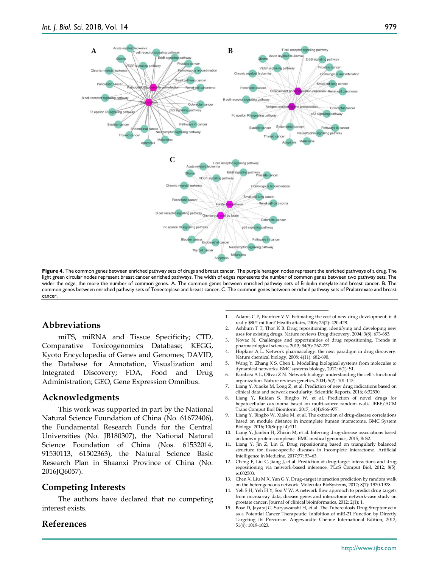

**Figure 4.** The common genes between enriched pathway sets of drugs and breast cancer. The purple hexagon nodes represent the enriched pathways of a drug. The light green circular nodes represent breast cancer enriched pathways. The width of edges represents the number of common genes between two pathway sets. The wider the edge, the more the number of common genes. A. The common genes between enriched pathway sets of Eribulin mesylate and breast cancer. B. The common genes between enriched pathway sets of Tenecteplase and breast cancer. C. The common genes between enriched pathway sets of Pralatrexate and breast cancer.

# **Abbreviations**

miTS, miRNA and Tissue Specificity; CTD, Comparative Toxicogenomics Database; KEGG, Kyoto Encyclopedia of Genes and Genomes; DAVID, the Database for Annotation, Visualization and Integrated Discovery; FDA, Food and Drug Administration; GEO, Gene Expression Omnibus.

## **Acknowledgments**

This work was supported in part by the National Natural Science Foundation of China (No. 61672406), the Fundamental Research Funds for the Central Universities (No. JB180307), the National Natural Science Foundation of China (Nos. 61532014, 91530113, 61502363), the Natural Science Basic Research Plan in Shaanxi Province of China (No. 2016JQ6057).

## **Competing Interests**

The authors have declared that no competing interest exists.

## **References**

- **-**1. Adams C P, Brantner V V. Estimating the cost of new drug development: is it really \$802 million? Health affairs, 2006; 25(2): 420-428.
- 2. Ashburn T T, Thor K B. Drug repositioning: identifying and developing new uses for existing drugs. Nature reviews Drug discovery, 2004; 3(8): 673-683.
- 3. Novac N. Challenges and opportunities of drug repositioning. Trends in pharmacological sciences, 2013; 34(5): 267-272.
- 4. Hopkins A L. Network pharmacology: the next paradigm in drug discovery. Nature chemical biology, 2008; 4(11): 682-690.
- 5. Wang Y, Zhang X S, Chen L. Modelling biological systems from molecules to dynamical networks. BMC systems biology, 2012; 6(1): S1.
- Barabasi A L, Oltvai Z N. Network biology: understanding the cell's functional organization. Nature reviews genetics, 2004; 5(2): 101-113.
- 7. Liang Y, Xiaoke M, Long Z, et al. Prediction of new drug indications based on clinical data and network modularity. Scientific Reports, 2016; 6:32530.
- 8. Liang Y, Ruidan S, Bingbo W, et al. Prediction of novel drugs for hepatocellular carcinoma based on multi-source random walk. IEEE/ACM Trans Comput Biol Bioinform. 2017; 14(4):966-977.
- 9. Liang Y, Bingbo W, Xiake M, et al. The extraction of drug-disease correlations based on module distance in incomplete human interactome. BMC System Biology. 2016; 10(Suppl 4):111.
- 10. Liang Y, Jianbin H, Zhixin M, et al. Inferring drug-disease associations based on known protein complexes. BMC medical genomics, 2015; 8: S2.
- 11. Liang Y, Jin Z, Lin G. Drug repositioning based on triangularly balanced structure for tissue-specific diseases in incomplete interactome. Artificial Intelligence in Medicine. 2017;77: 53–63.
- 12. Cheng F, Liu C, Jiang J, et al. Prediction of drug-target interactions and drug repositioning via network-based inference. PLoS Comput Biol, 2012; 8(5): e1002503.
- 13. Chen X, Liu M X, Yan G Y. Drug–target interaction prediction by random walk on the heterogeneous network. Molecular BioSystems, 2012; 8(7): 1970-1978.
- 14. Yeh S H, Yeh H Y, Soo V W. A network flow approach to predict drug targets from microarray data, disease genes and interactome network-case study on prostate cancer. Journal of clinical bioinformatics, 2012; 2(1): 1.
- 15. Bose D, Jayaraj G, Suryawanshi H, et al. The Tuberculosis Drug Streptomycin as a Potential Cancer Therapeutic: Inhibition of miR‐21 Function by Directly Targeting Its Precursor. Angewandte Chemie International Edition, 2012; 51(4): 1019-1023.